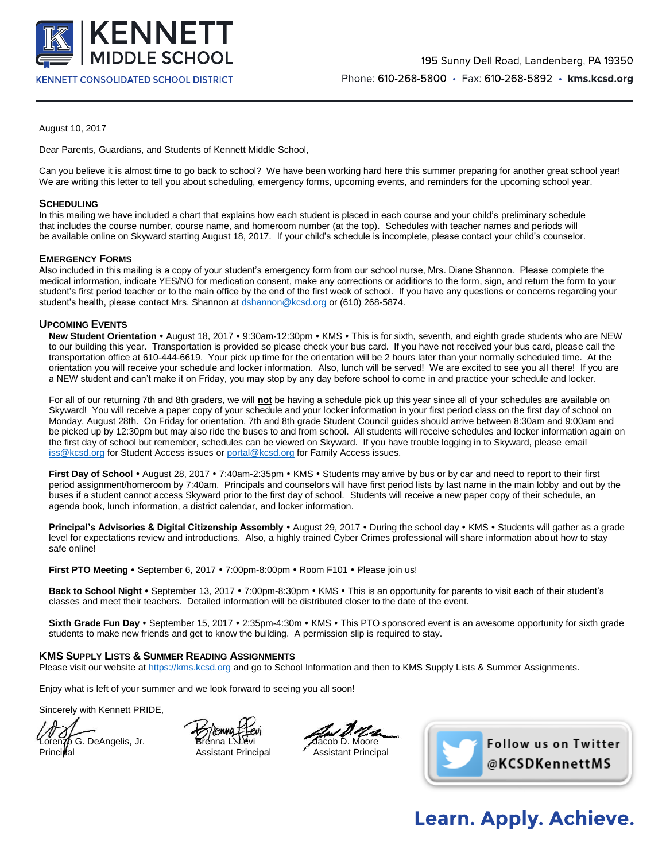

August 10, 2017

Dear Parents, Guardians, and Students of Kennett Middle School,

Can you believe it is almost time to go back to school? We have been working hard here this summer preparing for another great school year! We are writing this letter to tell you about scheduling, emergency forms, upcoming events, and reminders for the upcoming school year.

### **SCHEDULING**

In this mailing we have included a chart that explains how each student is placed in each course and your child's preliminary schedule that includes the course number, course name, and homeroom number (at the top). Schedules with teacher names and periods will be available online on Skyward starting August 18, 2017. If your child's schedule is incomplete, please contact your child's counselor.

### **EMERGENCY FORMS**

Also included in this mailing is a copy of your student's emergency form from our school nurse, Mrs. Diane Shannon. Please complete the medical information, indicate YES/NO for medication consent, make any corrections or additions to the form, sign, and return the form to your student's first period teacher or to the main office by the end of the first week of school. If you have any questions or concerns regarding your student's health, please contact Mrs. Shannon at [dshannon@kcsd.org](mailto:dshannon@kcsd.org) or (610) 268-5874.

### **UPCOMING EVENTS**

New Student Orientation • August 18, 2017 • 9:30am-12:30pm • KMS • This is for sixth, seventh, and eighth grade students who are NEW to our building this year. Transportation is provided so please check your bus card. If you have not received your bus card, please call the transportation office at 610-444-6619. Your pick up time for the orientation will be 2 hours later than your normally scheduled time. At the orientation you will receive your schedule and locker information. Also, lunch will be served! We are excited to see you all there! If you are a NEW student and can't make it on Friday, you may stop by any day before school to come in and practice your schedule and locker.

For all of our returning 7th and 8th graders, we will **not** be having a schedule pick up this year since all of your schedules are available on Skyward! You will receive a paper copy of your schedule and your locker information in your first period class on the first day of school on Monday, August 28th. On Friday for orientation, 7th and 8th grade Student Council guides should arrive between 8:30am and 9:00am and be picked up by 12:30pm but may also ride the buses to and from school. All students will receive schedules and locker information again on the first day of school but remember, schedules can be viewed on Skyward. If you have trouble logging in to Skyward, please email [iss@kcsd.org](mailto:iss@kcsd.org) for Student Access issues o[r portal@kcsd.org](mailto:portal@kcsd.org) for Family Access issues.

First Day of School • August 28, 2017 • 7:40am-2:35pm • KMS • Students may arrive by bus or by car and need to report to their first period assignment/homeroom by 7:40am. Principals and counselors will have first period lists by last name in the main lobby and out by the buses if a student cannot access Skyward prior to the first day of school. Students will receive a new paper copy of their schedule, an agenda book, lunch information, a district calendar, and locker information.

**Principal's Advisories & Digital Citizenship Assembly** • August 29, 2017 • During the school day • KMS • Students will gather as a grade level for expectations review and introductions. Also, a highly trained Cyber Crimes professional will share information about how to stay safe online!

**First PTO Meeting •** September 6, 2017 • 7:00pm-8:00pm • Room F101 • Please join us!

Back to School Night • September 13, 2017 • 7:00pm-8:30pm • KMS • This is an opportunity for parents to visit each of their student's classes and meet their teachers. Detailed information will be distributed closer to the date of the event.

Sixth Grade Fun Day • September 15, 2017 • 2:35pm-4:30m • KMS • This PTO sponsored event is an awesome opportunity for sixth grade students to make new friends and get to know the building. A permission slip is required to stay.

### **KMS SUPPLY LISTS & SUMMER READING ASSIGNMENTS**

Please visit our website a[t https://kms.kcsd.org](https://kms.kcsd.org/) and go to School Information and then to KMS Supply Lists & Summer Assignments.

Enjoy what is left of your summer and we look forward to seeing you all soon!

Sincerely with Kennett PRIDE,

orenzo G. DeAngelis, Jr. Brenna L. Levi Jacob D. Moore

Principal **Assistant Principal Assistant Principal** Assistant Principal



# **Learn. Apply. Achieve.**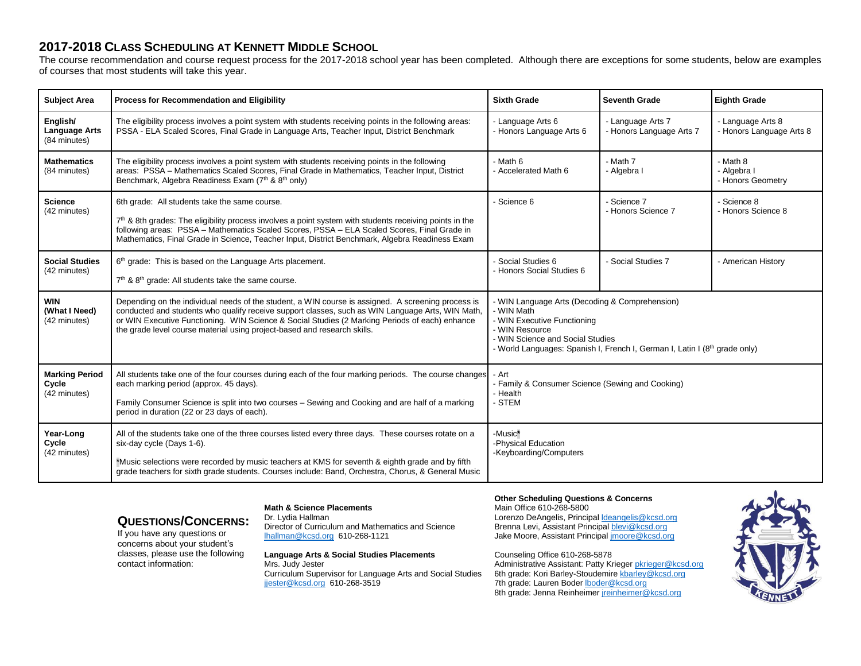## **2017-2018 CLASS SCHEDULING AT KENNETT MIDDLE SCHOOL**

The course recommendation and course request process for the 2017-2018 school year has been completed. Although there are exceptions for some students, below are examples of courses that most students will take this year.

| <b>Subject Area</b>                              | <b>Process for Recommendation and Eligibility</b>                                                                                                                                                                                                                                                                                                                                    | <b>Sixth Grade</b>                                                                                                                                                                                                              | <b>Seventh Grade</b>                          | <b>Eighth Grade</b>                           |
|--------------------------------------------------|--------------------------------------------------------------------------------------------------------------------------------------------------------------------------------------------------------------------------------------------------------------------------------------------------------------------------------------------------------------------------------------|---------------------------------------------------------------------------------------------------------------------------------------------------------------------------------------------------------------------------------|-----------------------------------------------|-----------------------------------------------|
| English/<br><b>Language Arts</b><br>(84 minutes) | The eligibility process involves a point system with students receiving points in the following areas:<br>PSSA - ELA Scaled Scores, Final Grade in Language Arts, Teacher Input, District Benchmark                                                                                                                                                                                  | - Language Arts 6<br>- Honors Language Arts 6                                                                                                                                                                                   | - Language Arts 7<br>- Honors Language Arts 7 | - Language Arts 8<br>- Honors Language Arts 8 |
| <b>Mathematics</b><br>(84 minutes)               | The eligibility process involves a point system with students receiving points in the following<br>areas: PSSA - Mathematics Scaled Scores, Final Grade in Mathematics, Teacher Input, District<br>Benchmark, Algebra Readiness Exam (7th & 8th only)                                                                                                                                | - Math 6<br>- Accelerated Math 6                                                                                                                                                                                                | - Math 7<br>- Algebra I                       | - Math 8<br>- Algebra I<br>- Honors Geometry  |
| <b>Science</b><br>(42 minutes)                   | 6th grade: All students take the same course.<br>$7th$ & 8th grades: The eligibility process involves a point system with students receiving points in the<br>following areas: PSSA - Mathematics Scaled Scores, PSSA - ELA Scaled Scores, Final Grade in<br>Mathematics, Final Grade in Science, Teacher Input, District Benchmark, Algebra Readiness Exam                          | - Science 6                                                                                                                                                                                                                     | Science 7<br>- Honors Science 7               | - Science 8<br>- Honors Science 8             |
| <b>Social Studies</b><br>(42 minutes)            | 6 <sup>th</sup> grade: This is based on the Language Arts placement.<br>7 <sup>th</sup> & 8 <sup>th</sup> grade: All students take the same course.                                                                                                                                                                                                                                  | - Social Studies 6<br>- Honors Social Studies 6                                                                                                                                                                                 | - Social Studies 7                            | - American History                            |
| <b>WIN</b><br>(What I Need)<br>(42 minutes)      | Depending on the individual needs of the student, a WIN course is assigned. A screening process is<br>conducted and students who qualify receive support classes, such as WIN Language Arts, WIN Math,<br>or WIN Executive Functioning. WIN Science & Social Studies (2 Marking Periods of each) enhance<br>the grade level course material using project-based and research skills. | - WIN Language Arts (Decoding & Comprehension)<br>- WIN Math<br>- WIN Executive Functioning<br>- WIN Resource<br>- WIN Science and Social Studies<br>- World Languages: Spanish I, French I, German I, Latin I (8th grade only) |                                               |                                               |
| <b>Marking Period</b><br>Cycle<br>(42 minutes)   | All students take one of the four courses during each of the four marking periods. The course changes<br>each marking period (approx. 45 days).<br>Family Consumer Science is split into two courses - Sewing and Cooking and are half of a marking<br>period in duration (22 or 23 days of each).                                                                                   | - Art<br>- Family & Consumer Science (Sewing and Cooking)<br>- Health<br>- STEM                                                                                                                                                 |                                               |                                               |
| Year-Long<br>Cycle<br>(42 minutes)               | All of the students take one of the three courses listed every three days. These courses rotate on a<br>six-day cycle (Days 1-6).<br>*Music selections were recorded by music teachers at KMS for seventh & eighth grade and by fifth<br>grade teachers for sixth grade students. Courses include: Band, Orchestra, Chorus, & General Music                                          | -Music*<br>-Physical Education<br>-Keyboarding/Computers                                                                                                                                                                        |                                               |                                               |

## **QUESTIONS/CONCERNS:**

If you have any questions or concerns about your student's classes, please use the following contact information:

### **Math & Science Placements**

Dr. Lydia Hallman Director of Curriculum and Mathematics and Science [lhallman@kcsd.org](mailto:lhallman@kcsd.org) 610-268-1121

#### **Language Arts & Social Studies Placements** Mrs. Judy Jester Curriculum Supervisor for Language Arts and Social Studies [jjester@kcsd.org](mailto:jjester@kcsd.org) 610-268-3519

**Other Scheduling Questions & Concerns** Main Office 610-268-5800 Lorenzo DeAngelis, Principal **Ideangelis@kcsd.org** Brenna Levi, Assistant Principa[l blevi@kcsd.org](mailto:blevi@kcsd.org) Jake Moore, Assistant Principa[l jmoore@kcsd.org](mailto:jmoore@kcsd.org)

Counseling Office 610-268-5878 Administrative Assistant: Patty Krieger [pkrieger@kcsd.org](mailto:pkrieger@kcsd.org) 6th grade: Kori Barley-Stoudemir[e kbarley@kcsd.org](mailto:kbarley@kcsd.org) 7th grade: Lauren Boder **boder@kcsd.org** 8th grade: Jenna Reinheime[r jreinheimer@kcsd.org](mailto:jreinheimer@kcsd.org)